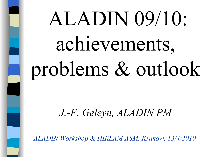# ALADIN 09/10: achievements, problems & outlook

### *J.-F. Geleyn, ALADIN PM*

*ALADIN Workshop & HIRLAM ASM, Krakow, 13/4/2010*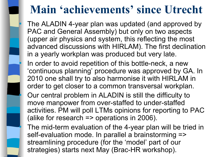### **Main 'achievements' since Utrecht**

 The ALADIN 4-year plan was updated (and approved by PAC and General Assembly) but only on two aspects (upper air physics and system, this reflecting the most advanced discussions with HIRLAM). The first declination in a yearly workplan was produced but very late.

In order to avoid repetition of this bottle-neck, a new 'continuous planning' procedure was approved by GA. In 2010 one shall try to also harmonise it with HIRLAM in order to get closer to a common transversal workplan.

Ξ

- Our central problem in ALADIN is still the difficulty to move manpower from over-staffed to under-staffed activities. PM will poll LTMs opinions for reporting to PAC (alike for research => operations in 2006).
- The mid-term evaluation of the 4-year plan will be tried in self-evaluation mode. In parallel a brainstorming => streamlining procedure (for the 'model' part of our strategies) starts next May (Brac-HR workshop).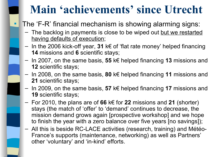### **Main 'achievements' since Utrecht**

The 'F-R' financial mechanism is showing alarming signs:

- The backlog in payments is close to be wiped out but we restarted having defaults of execution;
- In the 2006 kick-off year, **31** k€ of 'flat rate money' helped financing **14** missions and **6** scientific stays;
- In 2007, on the same basis, **55** k€ helped financing **13** missions and **12** scientific stays;
- In 2008, on the same basis, **80** k€ helped financing **11** missions and **21** scientific stays;
- In 2009, on the same basis, **57** k€ helped financing **17** missions and **19** scientific stays;
- For 2010, the plans are of **66** k€ for **22** missions and **21** (shorter) stays (the match of 'offer' to 'demand' continues to decrease, the mission demand grows again [prospective workshop] and we hope to finish the year with a zero balance over five years [no savings]);
- All this is beside RC-LACE activities (research, training) and Météo-France's supports (maintenance, networking) as well as Partners' other 'voluntary' and 'in-kind' efforts.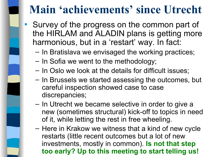### **Main 'achievements' since Utrecht**

- Survey of the progress on the common part of the HIRLAM and ALADIN plans is getting more harmonious, but in a 'restart' way. In fact:
	- In Bratislava we envisaged the working practices;
	- In Sofia we went to the methodology;
	- In Oslo we look at the details for difficult issues;
	- In Brussels we started assessing the outcomes, but careful inspection showed case to case discrepancies;
	- In Utrecht we became selective in order to give a new (sometimes structural) kick-off to topics in need of it, while letting the rest in free wheeling.
	- Here in Krakow we witness that a kind of new cycle restarts (little recent outcomes but a lot of new investments, mostly in common). **Is not that step too early? Up to this meeting to start telling us!**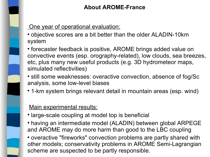#### **About AROME-France**

#### One year of operational evaluation:

- objective scores are a bit better than the older ALADIN-10km system
- forecaster feedback is positive, AROME brings added value on convective events (esp. orography-related), low clouds, sea breezes, etc, plus many new useful products (e.g. 3D hydrometeor maps, simulated reflectivities)
- still some weaknesses: overactive convection, absence of fog/Sc analysis, some low-level biases
- 1-km system brings relevant detail in mountain areas (esp. wind)

#### Main experimental results:

- large-scale coupling at model top is beneficial
- having an intermediate model (ALADIN) between global ARPEGE and AROME may do more harm than good to the LBC coupling
- overactive "fireworks" convection problems are partly shared with other models; conservativity problems in AROME Semi-Lagrangian scheme are suspected to be partly responsible.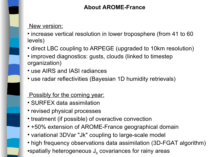#### **About AROME-France**

#### New version:

- increase vertical resolution in lower troposphere (from 41 to 60 levels)
- direct LBC coupling to ARPEGE (upgraded to 10km resolution)
- improved diagnostics: gusts, clouds (linked to timestep organization)
- use AIRS and IASI radiances
- use radar reflectivities (Bayesian 1D humidity retrievals)

#### **Possibly for the coming year:**

- SURFEX data assimilation
- revised physical processes
- treatment (if possible) of overactive convection
- +50% extension of AROME-France geographical domain
- variational 3DVar "Jk" coupling to large-scale model
- high frequency observations data assimilation (3D-FGAT algorithm)  $\bullet$ spatially heterogeneous J $_{\rm b}$  covariances for rainy areas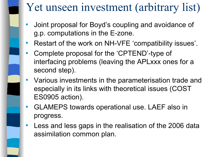## Yet unseen investment (arbitrary list)

- Joint proposal for Boyd's coupling and avoidance of g.p. computations in the E-zone.
- Restart of the work on NH-VFE 'compatibility issues'.
- Complete proposal for the 'CPTEND'-type of interfacing problems (leaving the APLxxx ones for a second step).
- Various investments in the parameterisation trade and especially in its links with theoretical issues (COST ES0905 action).
- GLAMEPS towards operational use. LAEF also in progress.
- Less and less gaps in the realisation of the 2006 data assimilation common plan.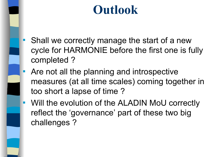# **Outlook**

- Shall we correctly manage the start of a new cycle for HARMONIE before the first one is fully completed ?
- **Are not all the planning and introspective** measures (at all time scales) coming together in too short a lapse of time ?
- Will the evolution of the ALADIN MoU correctly reflect the 'governance' part of these two big challenges ?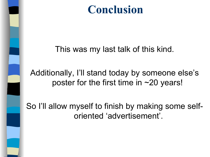### **Conclusion**

This was my last talk of this kind.

### Additionally, I'll stand today by someone else's poster for the first time in ~20 years!

So I'll allow myself to finish by making some selforiented 'advertisement'.